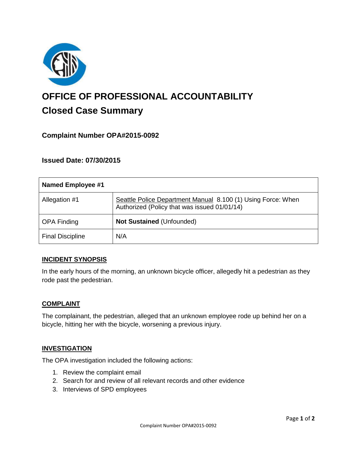

# **OFFICE OF PROFESSIONAL ACCOUNTABILITY Closed Case Summary**

# **Complaint Number OPA#2015-0092**

# **Issued Date: 07/30/2015**

| <b>Named Employee #1</b> |                                                                                                              |
|--------------------------|--------------------------------------------------------------------------------------------------------------|
| Allegation #1            | Seattle Police Department Manual 8.100 (1) Using Force: When<br>Authorized (Policy that was issued 01/01/14) |
| <b>OPA Finding</b>       | Not Sustained (Unfounded)                                                                                    |
| <b>Final Discipline</b>  | N/A                                                                                                          |

## **INCIDENT SYNOPSIS**

In the early hours of the morning, an unknown bicycle officer, allegedly hit a pedestrian as they rode past the pedestrian.

#### **COMPLAINT**

The complainant, the pedestrian, alleged that an unknown employee rode up behind her on a bicycle, hitting her with the bicycle, worsening a previous injury.

## **INVESTIGATION**

The OPA investigation included the following actions:

- 1. Review the complaint email
- 2. Search for and review of all relevant records and other evidence
- 3. Interviews of SPD employees